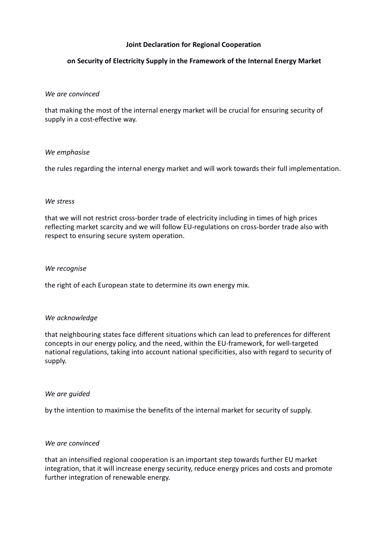# **Joint Declaration for Regional Cooperation**

# **on Security of Electricity Supply in the Framework of the Internal Energy Market**

## *We are convinced*

that making the most of the internal energy market will be crucial for ensuring security of supply in a cost-effective way.

## *We emphasise*

the rules regarding the internal energy market and will work towards their full implementation.

## *We stress*

that we will not restrict cross-border trade of electricity including in times of high prices reflecting market scarcity and we will follow EU-regulations on cross-border trade also with respect to ensuring secure system operation.

### *We recognise*

the right of each European state to determine its own energy mix.

## *We acknowledge*

that neighbouring states face different situations which can lead to preferences for different concepts in our energy policy, and the need, within the EU-framework, for well-targeted national regulations, taking into account national specificities, also with regard to security of supply.

#### *We are guided*

by the intention to maximise the benefits of the internal market for security of supply.

#### *We are convinced*

that an intensified regional cooperation is an important step towards further EU market integration, that it will increase energy security, reduce energy prices and costs and promote further integration of renewable energy.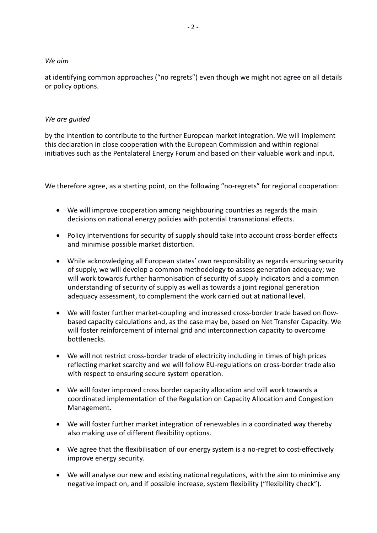## *We aim*

at identifying common approaches ("no regrets") even though we might not agree on all details or policy options.

## *We are guided*

by the intention to contribute to the further European market integration. We will implement this declaration in close cooperation with the European Commission and within regional initiatives such as the Pentalateral Energy Forum and based on their valuable work and input.

We therefore agree, as a starting point, on the following "no-regrets" for regional cooperation:

- We will improve cooperation among neighbouring countries as regards the main decisions on national energy policies with potential transnational effects.
- Policy interventions for security of supply should take into account cross-border effects and minimise possible market distortion.
- While acknowledging all European states' own responsibility as regards ensuring security of supply, we will develop a common methodology to assess generation adequacy; we will work towards further harmonisation of security of supply indicators and a common understanding of security of supply as well as towards a joint regional generation adequacy assessment, to complement the work carried out at national level.
- We will foster further market-coupling and increased cross-border trade based on flowbased capacity calculations and, as the case may be, based on Net Transfer Capacity. We will foster reinforcement of internal grid and interconnection capacity to overcome bottlenecks.
- We will not restrict cross-border trade of electricity including in times of high prices reflecting market scarcity and we will follow EU-regulations on cross-border trade also with respect to ensuring secure system operation.
- We will foster improved cross border capacity allocation and will work towards a coordinated implementation of the Regulation on Capacity Allocation and Congestion Management.
- We will foster further market integration of renewables in a coordinated way thereby also making use of different flexibility options.
- We agree that the flexibilisation of our energy system is a no-regret to cost-effectively improve energy security.
- We will analyse our new and existing national regulations, with the aim to minimise any negative impact on, and if possible increase, system flexibility ("flexibility check").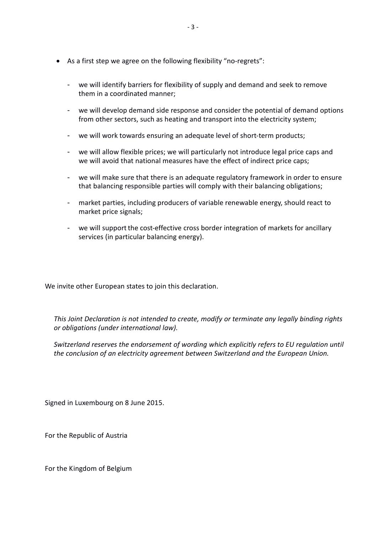- As a first step we agree on the following flexibility "no-regrets":
	- we will identify barriers for flexibility of supply and demand and seek to remove them in a coordinated manner;
	- we will develop demand side response and consider the potential of demand options from other sectors, such as heating and transport into the electricity system;
	- we will work towards ensuring an adequate level of short-term products;
	- we will allow flexible prices; we will particularly not introduce legal price caps and we will avoid that national measures have the effect of indirect price caps;
	- we will make sure that there is an adequate regulatory framework in order to ensure that balancing responsible parties will comply with their balancing obligations;
	- market parties, including producers of variable renewable energy, should react to market price signals;
	- we will support the cost-effective cross border integration of markets for ancillary services (in particular balancing energy).

We invite other European states to join this declaration.

*This Joint Declaration is not intended to create, modify or terminate any legally binding rights or obligations (under international law).*

*Switzerland reserves the endorsement of wording which explicitly refers to EU regulation until the conclusion of an electricity agreement between Switzerland and the European Union.*

Signed in Luxembourg on 8 June 2015.

For the Republic of Austria

For the Kingdom of Belgium